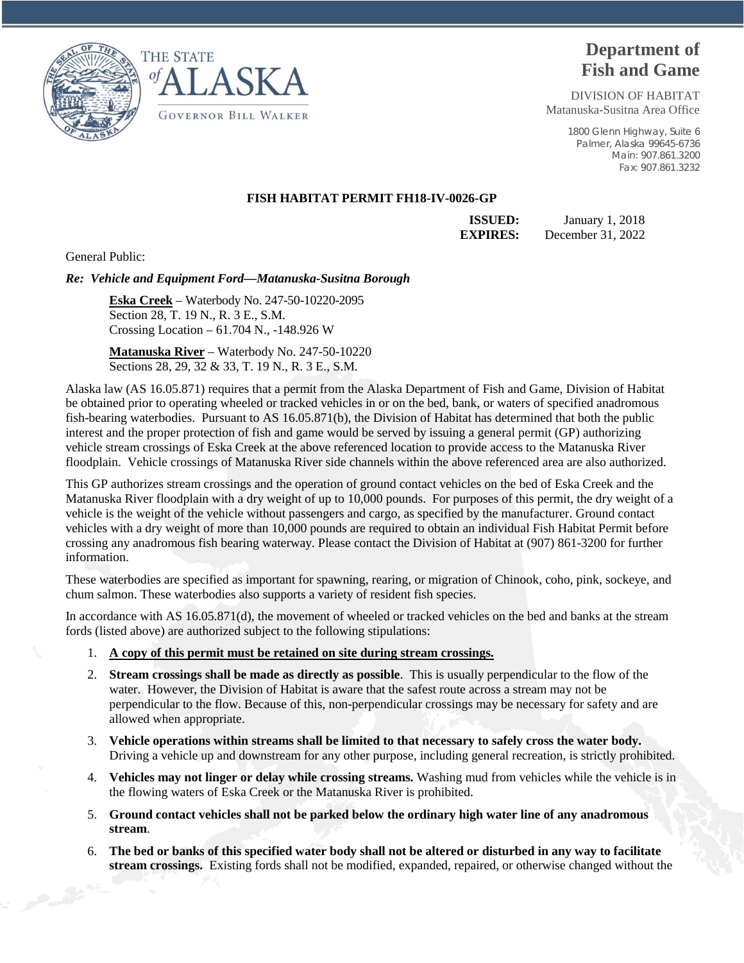



## **Department of Fish and Game**

DIVISION OF HABITAT Matanuska-Susitna Area Office

> 1800 Glenn Highway, Suite 6 Palmer, Alaska 99645-6736 Main: 907.861.3200 Fax: 907.861.3232

## **FISH HABITAT PERMIT FH18-IV-0026-GP**

**ISSUED:** January 1, 2018 **EXPIRES:** December 31, 2022

General Public:

## *Re: Vehicle and Equipment Ford—Matanuska-Susitna Borough*

**Eska Creek** – Waterbody No. 247-50-10220-2095 Section 28, T. 19 N., R. 3 E., S.M. Crossing Location – 61.704 N., -148.926 W

 **Matanuska River** – Waterbody No. 247-50-10220 Sections 28, 29, 32 & 33, T. 19 N., R. 3 E., S.M.

Alaska law (AS 16.05.871) requires that a permit from the Alaska Department of Fish and Game, Division of Habitat be obtained prior to operating wheeled or tracked vehicles in or on the bed, bank, or waters of specified anadromous fish-bearing waterbodies. Pursuant to AS 16.05.871(b), the Division of Habitat has determined that both the public interest and the proper protection of fish and game would be served by issuing a general permit (GP) authorizing vehicle stream crossings of Eska Creek at the above referenced location to provide access to the Matanuska River floodplain. Vehicle crossings of Matanuska River side channels within the above referenced area are also authorized.

This GP authorizes stream crossings and the operation of ground contact vehicles on the bed of Eska Creek and the Matanuska River floodplain with a dry weight of up to 10,000 pounds. For purposes of this permit, the dry weight of a vehicle is the weight of the vehicle without passengers and cargo, as specified by the manufacturer. Ground contact vehicles with a dry weight of more than 10,000 pounds are required to obtain an individual Fish Habitat Permit before crossing any anadromous fish bearing waterway. Please contact the Division of Habitat at (907) 861-3200 for further information.

These waterbodies are specified as important for spawning, rearing, or migration of Chinook, coho, pink, sockeye, and chum salmon. These waterbodies also supports a variety of resident fish species.

In accordance with AS 16.05.871(d), the movement of wheeled or tracked vehicles on the bed and banks at the stream fords (listed above) are authorized subject to the following stipulations:

- 1. **A copy of this permit must be retained on site during stream crossings.**
- 2. **Stream crossings shall be made as directly as possible**. This is usually perpendicular to the flow of the water. However, the Division of Habitat is aware that the safest route across a stream may not be perpendicular to the flow. Because of this, non-perpendicular crossings may be necessary for safety and are allowed when appropriate.
- 3. **Vehicle operations within streams shall be limited to that necessary to safely cross the water body.** Driving a vehicle up and downstream for any other purpose, including general recreation, is strictly prohibited.
- 4. **Vehicles may not linger or delay while crossing streams.** Washing mud from vehicles while the vehicle is in the flowing waters of Eska Creek or the Matanuska River is prohibited.
- 5. **Ground contact vehicles shall not be parked below the ordinary high water line of any anadromous stream**.
- 6. **The bed or banks of this specified water body shall not be altered or disturbed in any way to facilitate stream crossings.** Existing fords shall not be modified, expanded, repaired, or otherwise changed without the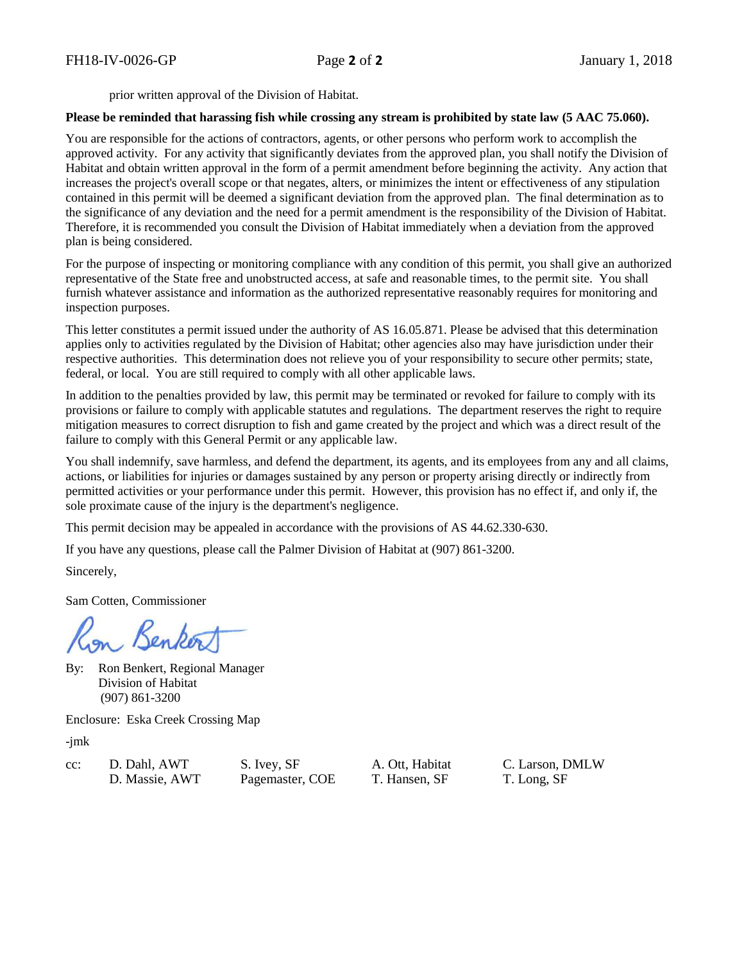prior written approval of the Division of Habitat.

## **Please be reminded that harassing fish while crossing any stream is prohibited by state law (5 AAC 75.060).**

You are responsible for the actions of contractors, agents, or other persons who perform work to accomplish the approved activity. For any activity that significantly deviates from the approved plan, you shall notify the Division of Habitat and obtain written approval in the form of a permit amendment before beginning the activity. Any action that increases the project's overall scope or that negates, alters, or minimizes the intent or effectiveness of any stipulation contained in this permit will be deemed a significant deviation from the approved plan. The final determination as to the significance of any deviation and the need for a permit amendment is the responsibility of the Division of Habitat. Therefore, it is recommended you consult the Division of Habitat immediately when a deviation from the approved plan is being considered.

For the purpose of inspecting or monitoring compliance with any condition of this permit, you shall give an authorized representative of the State free and unobstructed access, at safe and reasonable times, to the permit site. You shall furnish whatever assistance and information as the authorized representative reasonably requires for monitoring and inspection purposes.

This letter constitutes a permit issued under the authority of AS 16.05.871. Please be advised that this determination applies only to activities regulated by the Division of Habitat; other agencies also may have jurisdiction under their respective authorities. This determination does not relieve you of your responsibility to secure other permits; state, federal, or local. You are still required to comply with all other applicable laws.

In addition to the penalties provided by law, this permit may be terminated or revoked for failure to comply with its provisions or failure to comply with applicable statutes and regulations. The department reserves the right to require mitigation measures to correct disruption to fish and game created by the project and which was a direct result of the failure to comply with this General Permit or any applicable law.

You shall indemnify, save harmless, and defend the department, its agents, and its employees from any and all claims, actions, or liabilities for injuries or damages sustained by any person or property arising directly or indirectly from permitted activities or your performance under this permit. However, this provision has no effect if, and only if, the sole proximate cause of the injury is the department's negligence.

This permit decision may be appealed in accordance with the provisions of AS 44.62.330-630.

If you have any questions, please call the Palmer Division of Habitat at (907) 861-3200.

Sincerely,

Sam Cotten, Commissioner

m Benker

By: Ron Benkert, Regional Manager Division of Habitat (907) 861-3200

Enclosure: Eska Creek Crossing Map

-jmk

| cc: | D. Dahl, AW  |
|-----|--------------|
|     | D. Massie, A |

T S. Ivey, SF A. Ott, Habitat C. Larson, DMLW WT Pagemaster, COE T. Hansen, SF T. Long, SF